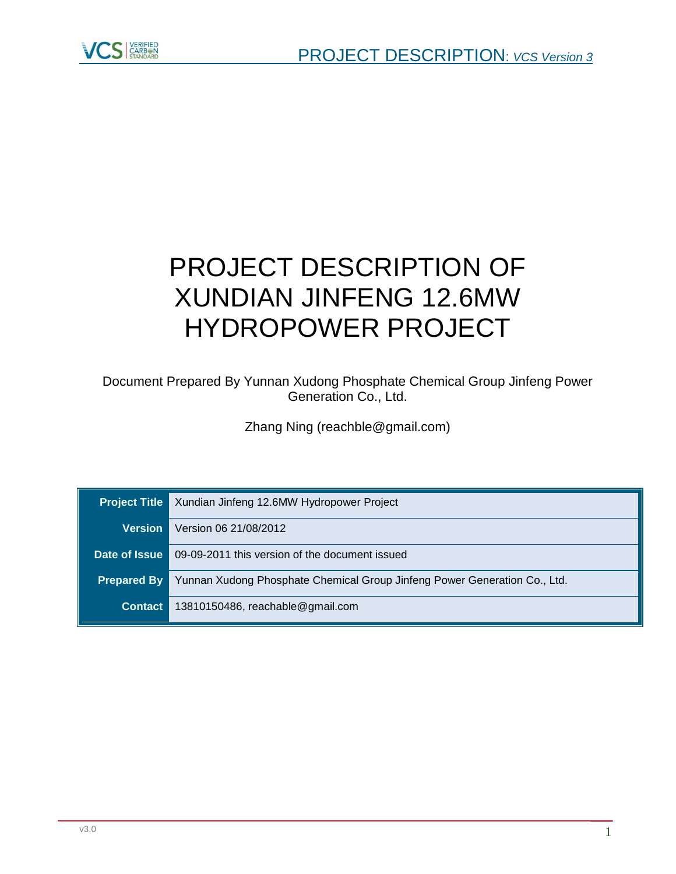

# PROJECT DESCRIPTION OF XUNDIAN JINFENG 12.6MW HYDROPOWER PROJECT

Document Prepared By Yunnan Xudong Phosphate Chemical Group Jinfeng Power Generation Co., Ltd.

Zhang Ning (reachble@gmail.com)

| <b>Project Title</b> | Xundian Jinfeng 12.6MW Hydropower Project                                 |  |  |
|----------------------|---------------------------------------------------------------------------|--|--|
| <b>Version</b>       | Version 06 21/08/2012                                                     |  |  |
|                      | <b>Date of Issue   09-09-2011 this version of the document issued</b>     |  |  |
| <b>Prepared By</b>   | Yunnan Xudong Phosphate Chemical Group Jinfeng Power Generation Co., Ltd. |  |  |
| <b>Contact</b>       | 13810150486, reachable@gmail.com                                          |  |  |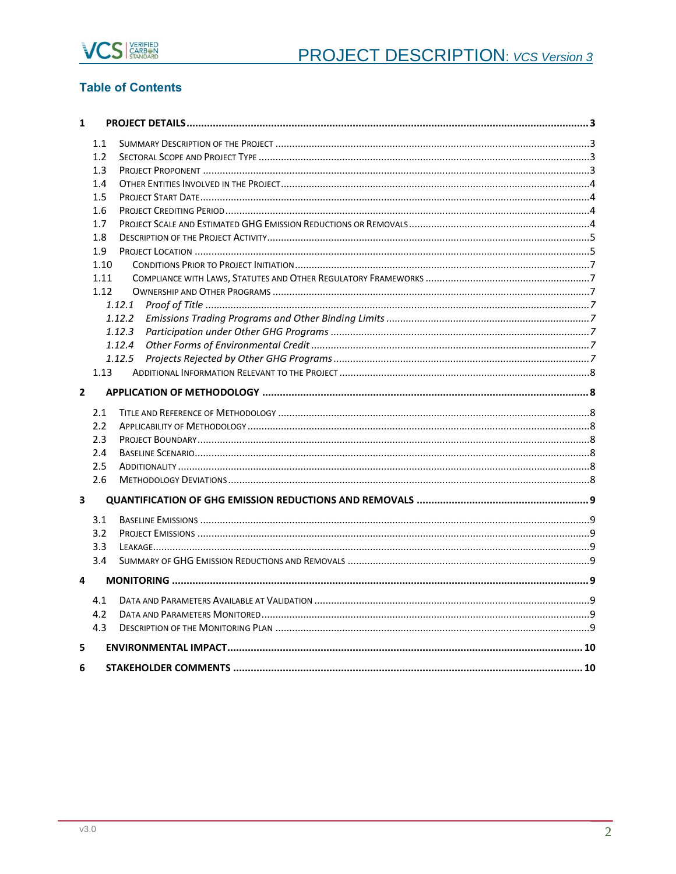

# **Table of Contents**

| $\mathbf{1}$   |      |        |  |  |  |
|----------------|------|--------|--|--|--|
|                | 1.1  |        |  |  |  |
|                | 1.2  |        |  |  |  |
|                | 1.3  |        |  |  |  |
|                | 1.4  |        |  |  |  |
|                | 1.5  |        |  |  |  |
|                | 1.6  |        |  |  |  |
|                | 1.7  |        |  |  |  |
|                | 1.8  |        |  |  |  |
|                | 1.9  |        |  |  |  |
|                | 1.10 |        |  |  |  |
|                | 1.11 |        |  |  |  |
|                | 1.12 |        |  |  |  |
|                |      | 1.12.1 |  |  |  |
|                |      | 1.12.2 |  |  |  |
|                |      | 1.12.3 |  |  |  |
|                |      | 1.12.4 |  |  |  |
|                |      | 1.12.5 |  |  |  |
|                | 1.13 |        |  |  |  |
| $\overline{2}$ |      |        |  |  |  |
|                | 2.1  |        |  |  |  |
|                | 2.2  |        |  |  |  |
|                | 2.3  |        |  |  |  |
|                | 2.4  |        |  |  |  |
|                | 2.5  |        |  |  |  |
|                | 2.6  |        |  |  |  |
| 3              |      |        |  |  |  |
|                | 3.1  |        |  |  |  |
|                | 3.2  |        |  |  |  |
|                | 3.3  |        |  |  |  |
|                | 3.4  |        |  |  |  |
| 4              |      |        |  |  |  |
|                |      |        |  |  |  |
|                | 4.1  |        |  |  |  |
|                | 4.2  |        |  |  |  |
|                | 4.3  |        |  |  |  |
| 5              |      |        |  |  |  |
| 6              |      |        |  |  |  |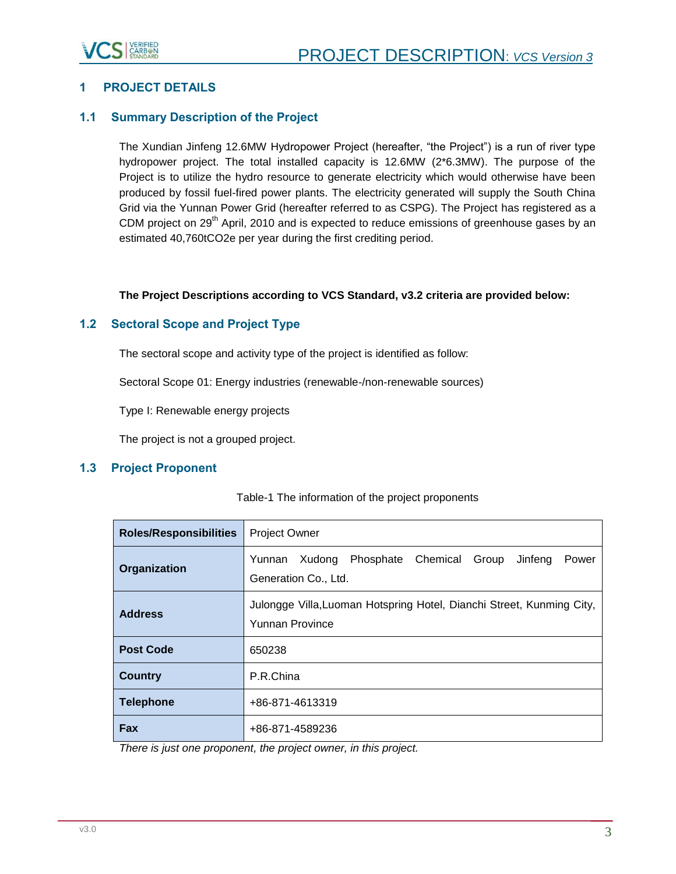

# <span id="page-2-0"></span>**1 PROJECT DETAILS**

## <span id="page-2-1"></span>**1.1 Summary Description of the Project**

The Xundian Jinfeng 12.6MW Hydropower Project (hereafter, "the Project") is a run of river type hydropower project. The total installed capacity is 12.6MW (2\*6.3MW). The purpose of the Project is to utilize the hydro resource to generate electricity which would otherwise have been produced by fossil fuel-fired power plants. The electricity generated will supply the South China Grid via the Yunnan Power Grid (hereafter referred to as CSPG). The Project has registered as a CDM project on 29<sup>th</sup> April, 2010 and is expected to reduce emissions of greenhouse gases by an estimated 40,760tCO2e per year during the first crediting period.

#### **The Project Descriptions according to VCS Standard, v3.2 criteria are provided below:**

## <span id="page-2-2"></span>**1.2 Sectoral Scope and Project Type**

The sectoral scope and activity type of the project is identified as follow:

Sectoral Scope 01: Energy industries (renewable-/non-renewable sources)

Type I: Renewable energy projects

The project is not a grouped project.

## <span id="page-2-3"></span>**1.3 Project Proponent**

| <b>Roles/Responsibilities</b> | <b>Project Owner</b>                                                                            |  |  |  |  |
|-------------------------------|-------------------------------------------------------------------------------------------------|--|--|--|--|
| Organization                  | Phosphate<br>Chemical<br>Group<br>Jinfeng<br>Yunnan<br>Xudong<br>Power<br>Generation Co., Ltd.  |  |  |  |  |
| <b>Address</b>                | Julongge Villa, Luoman Hotspring Hotel, Dianchi Street, Kunming City,<br><b>Yunnan Province</b> |  |  |  |  |
| <b>Post Code</b>              | 650238                                                                                          |  |  |  |  |
| <b>Country</b>                | P.R.China                                                                                       |  |  |  |  |
| <b>Telephone</b>              | +86-871-4613319                                                                                 |  |  |  |  |
| Fax                           | +86-871-4589236                                                                                 |  |  |  |  |

#### Table-1 The information of the project proponents

*There is just one proponent, the project owner, in this project.*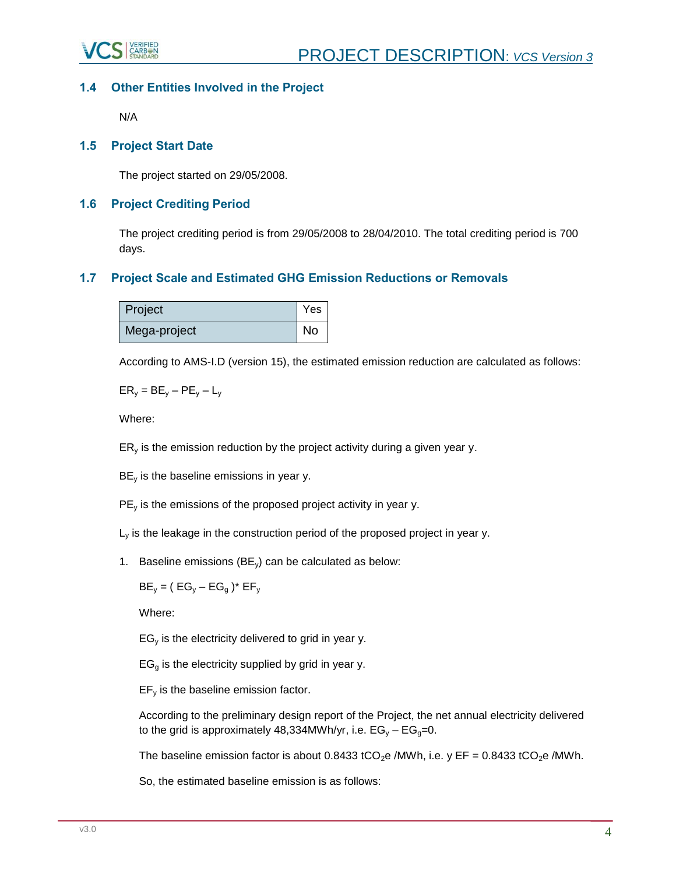

# <span id="page-3-0"></span>**1.4 Other Entities Involved in the Project**

N/A

## <span id="page-3-1"></span>**1.5 Project Start Date**

The project started on 29/05/2008.

## <span id="page-3-2"></span>**1.6 Project Crediting Period**

The project crediting period is from 29/05/2008 to 28/04/2010. The total crediting period is 700 days.

# <span id="page-3-3"></span>**1.7 Project Scale and Estimated GHG Emission Reductions or Removals**

| Project      | Yes |
|--------------|-----|
| Mega-project | No  |

According to AMS-I.D (version 15), the estimated emission reduction are calculated as follows:

 $ER_v = BE_v - PE_v - L_v$ 

Where:

 $ER<sub>v</sub>$  is the emission reduction by the project activity during a given year y.

 $BE<sub>v</sub>$  is the baseline emissions in year y.

 $PE<sub>v</sub>$  is the emissions of the proposed project activity in year y.

 $L<sub>v</sub>$  is the leakage in the construction period of the proposed project in year y.

1. Baseline emissions (BEy) can be calculated as below:

 $BE_v = (EG_v - EG_a)^* EF_v$ 

Where:

 $EG<sub>v</sub>$  is the electricity delivered to grid in year y.

 $EG<sub>g</sub>$  is the electricity supplied by grid in year y.

 $EF<sub>v</sub>$  is the baseline emission factor.

According to the preliminary design report of the Project, the net annual electricity delivered to the grid is approximately 48,334MWh/yr, i.e.  $EG_v - EG_{0} = 0$ .

The baseline emission factor is about 0.8433 tCO<sub>2</sub>e /MWh, i.e. y EF = 0.8433 tCO<sub>2</sub>e /MWh.

So, the estimated baseline emission is as follows: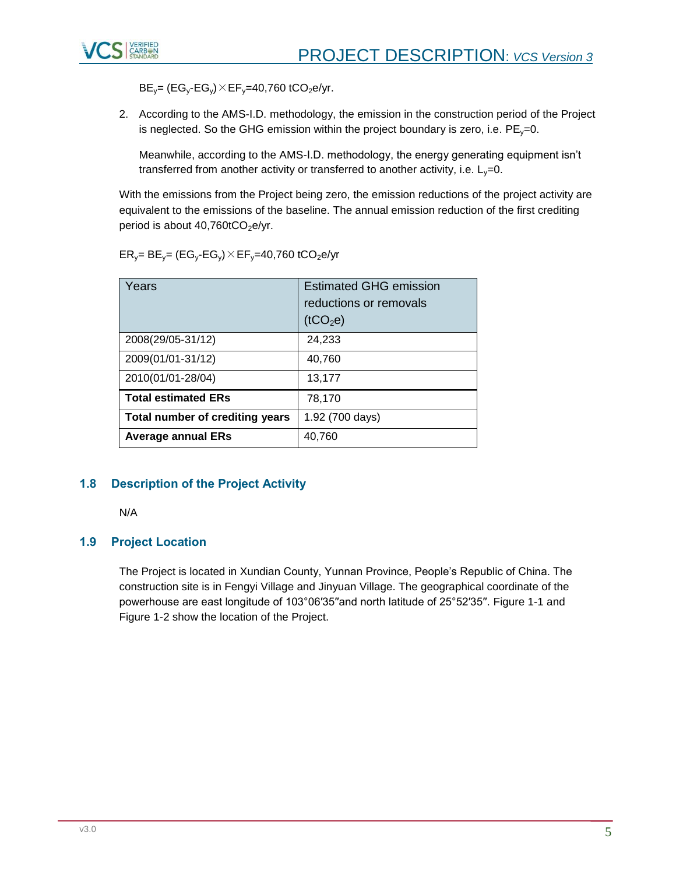

 $BE_y = (EG_y - EG_y) \times EF_y = 40,760 \text{ tCO}_2 \text{ e/yr}.$ 

2. According to the AMS-I.D. methodology, the emission in the construction period of the Project is neglected. So the GHG emission within the project boundary is zero, i.e.  $PE<sub>y</sub>=0$ .

Meanwhile, according to the AMS-I.D. methodology, the energy generating equipment isn't transferred from another activity or transferred to another activity, i.e.  $L_y=0$ .

With the emissions from the Project being zero, the emission reductions of the project activity are equivalent to the emissions of the baseline. The annual emission reduction of the first crediting period is about  $40,760$ t $CO<sub>2</sub>$ e/yr.

| Years                           | <b>Estimated GHG emission</b><br>reductions or removals<br>(tCO <sub>2</sub> e) |
|---------------------------------|---------------------------------------------------------------------------------|
| 2008(29/05-31/12)               | 24,233                                                                          |
| 2009(01/01-31/12)               | 40,760                                                                          |
| 2010(01/01-28/04)               | 13,177                                                                          |
| <b>Total estimated ERs</b>      | 78,170                                                                          |
| Total number of crediting years | 1.92 (700 days)                                                                 |
| <b>Average annual ERs</b>       | 40,760                                                                          |

 $ER_v = BE_v = (EG_v - EG_v) \times EF_v = 40,760 \t(CO_2e/yr)$ 

# <span id="page-4-0"></span>**1.8 Description of the Project Activity**

N/A

## <span id="page-4-1"></span>**1.9 Project Location**

The Project is located in Xundian County, Yunnan Province, People's Republic of China. The construction site is in Fengyi Village and Jinyuan Village. The geographical coordinate of the powerhouse are east longitude of 103°06′35′′and north latitude of 25°52′35′′. Figure 1-1 and Figure 1-2 show the location of the Project.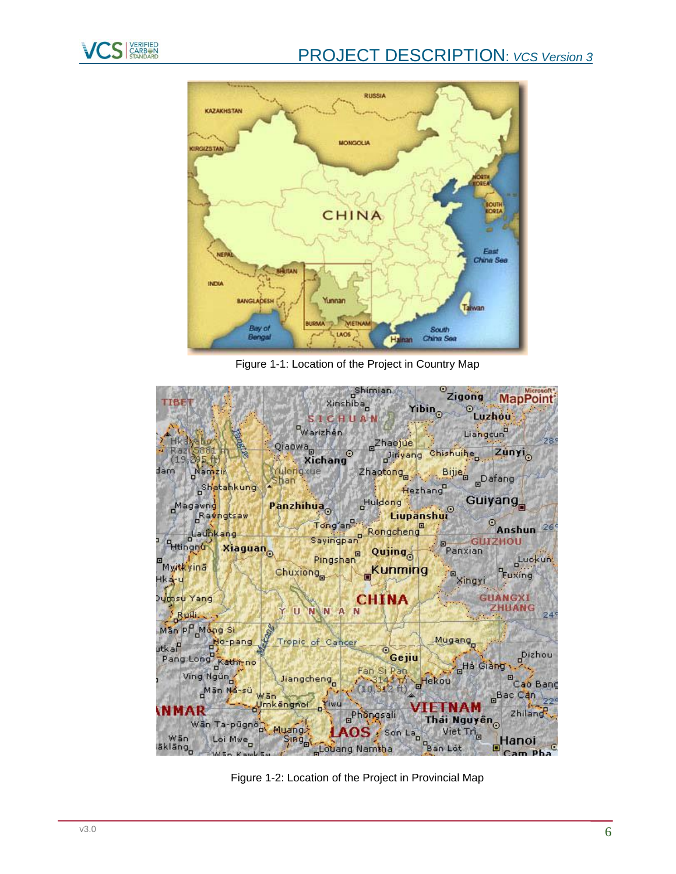

# PROJECT DESCRIPTION: *VCS Version 3*



Figure 1-1: Location of the Project in Country Map



Figure 1-2: Location of the Project in Provincial Map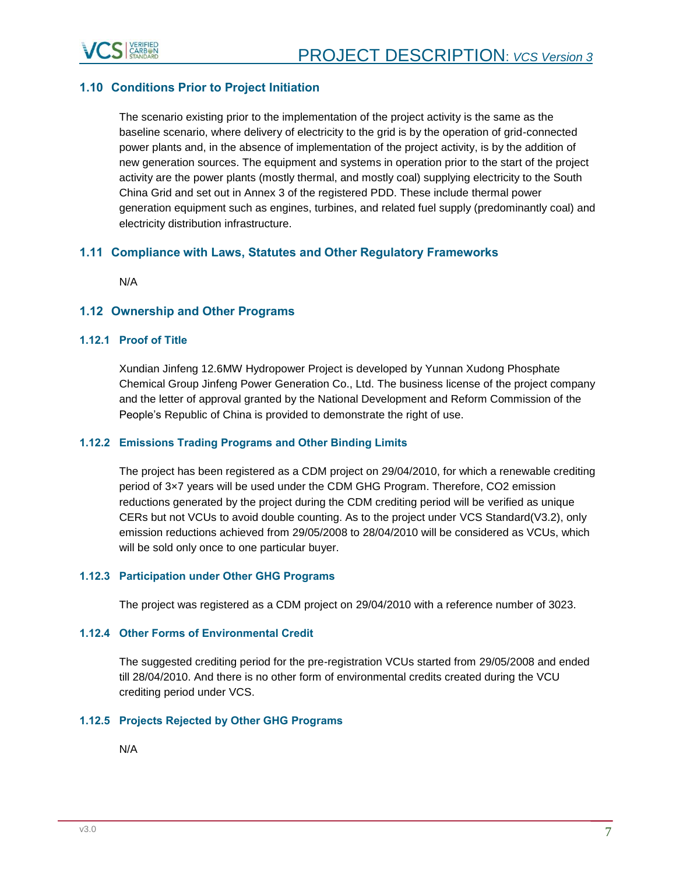

# <span id="page-6-0"></span>**1.10 Conditions Prior to Project Initiation**

The scenario existing prior to the implementation of the project activity is the same as the baseline scenario, where delivery of electricity to the grid is by the operation of grid-connected power plants and, in the absence of implementation of the project activity, is by the addition of new generation sources. The equipment and systems in operation prior to the start of the project activity are the power plants (mostly thermal, and mostly coal) supplying electricity to the South China Grid and set out in Annex 3 of the registered PDD. These include thermal power generation equipment such as engines, turbines, and related fuel supply (predominantly coal) and electricity distribution infrastructure.

# <span id="page-6-1"></span>**1.11 Compliance with Laws, Statutes and Other Regulatory Frameworks**

N/A

#### <span id="page-6-2"></span>**1.12 Ownership and Other Programs**

#### <span id="page-6-3"></span>**1.12.1 Proof of Title**

Xundian Jinfeng 12.6MW Hydropower Project is developed by Yunnan Xudong Phosphate Chemical Group Jinfeng Power Generation Co., Ltd. The business license of the project company and the letter of approval granted by the National Development and Reform Commission of the People's Republic of China is provided to demonstrate the right of use.

#### <span id="page-6-4"></span>**1.12.2 Emissions Trading Programs and Other Binding Limits**

The project has been registered as a CDM project on 29/04/2010, for which a renewable crediting period of 3×7 years will be used under the CDM GHG Program. Therefore, CO2 emission reductions generated by the project during the CDM crediting period will be verified as unique CERs but not VCUs to avoid double counting. As to the project under VCS Standard(V3.2), only emission reductions achieved from 29/05/2008 to 28/04/2010 will be considered as VCUs, which will be sold only once to one particular buyer.

#### <span id="page-6-5"></span>**1.12.3 Participation under Other GHG Programs**

The project was registered as a CDM project on 29/04/2010 with a reference number of 3023.

#### <span id="page-6-6"></span>**1.12.4 Other Forms of Environmental Credit**

The suggested crediting period for the pre-registration VCUs started from 29/05/2008 and ended till 28/04/2010. And there is no other form of environmental credits created during the VCU crediting period under VCS.

#### <span id="page-6-7"></span>**1.12.5 Projects Rejected by Other GHG Programs**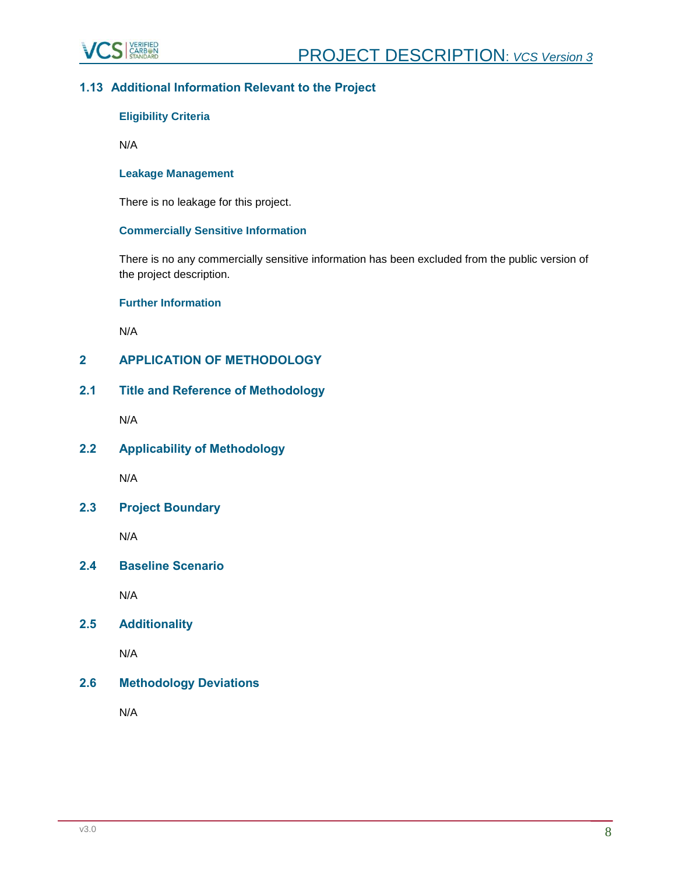

# <span id="page-7-0"></span>**1.13 Additional Information Relevant to the Project**

# **Eligibility Criteria**

N/A

#### **Leakage Management**

There is no leakage for this project.

## **Commercially Sensitive Information**

There is no any commercially sensitive information has been excluded from the public version of the project description.

#### **Further Information**

N/A

# <span id="page-7-1"></span>**2 APPLICATION OF METHODOLOGY**

<span id="page-7-2"></span>**2.1 Title and Reference of Methodology** 

N/A

<span id="page-7-3"></span>**2.2 Applicability of Methodology**

N/A

<span id="page-7-4"></span>**2.3 Project Boundary**

N/A

<span id="page-7-5"></span>**2.4 Baseline Scenario**

N/A

<span id="page-7-6"></span>**2.5 Additionality**

N/A

## <span id="page-7-7"></span>**2.6 Methodology Deviations**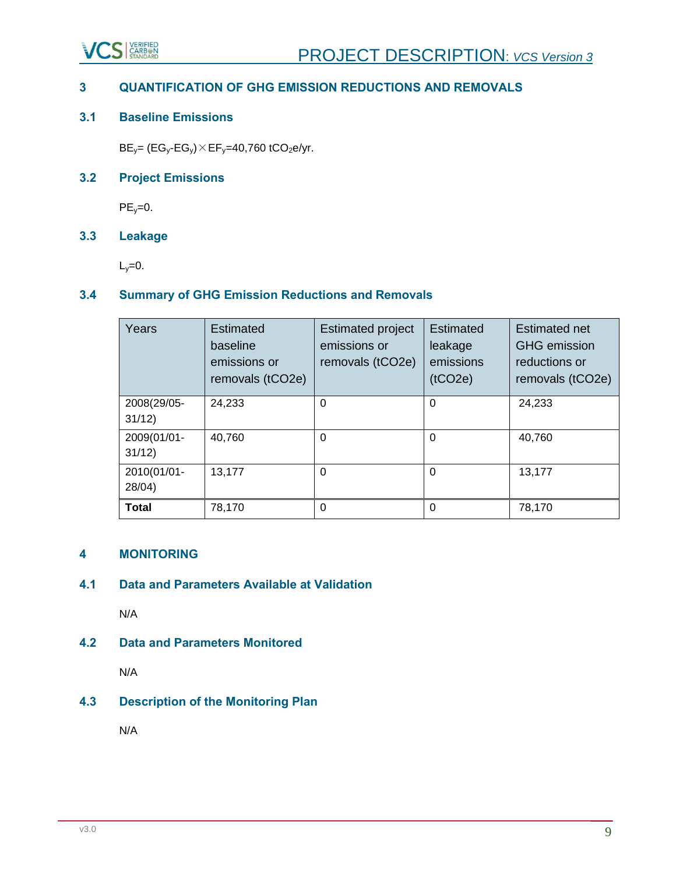

# <span id="page-8-0"></span>**3 QUANTIFICATION OF GHG EMISSION REDUCTIONS AND REMOVALS**

# <span id="page-8-1"></span>**3.1 Baseline Emissions**

 $BE_y = (EG_y - EG_y) \times EF_y = 40,760 \t(CO_2 \cdot e/yr$ .

# <span id="page-8-2"></span>**3.2 Project Emissions**

 $PE_v=0$ .

# <span id="page-8-3"></span>**3.3 Leakage**

 $L_y=0$ .

# <span id="page-8-4"></span>**3.4 Summary of GHG Emission Reductions and Removals**

| Years                 | <b>Estimated</b><br>baseline<br>emissions or<br>removals (tCO2e) | <b>Estimated project</b><br>emissions or<br>removals (tCO2e) | <b>Estimated</b><br>leakage<br>emissions<br>(tCO2e) | <b>Estimated net</b><br><b>GHG</b> emission<br>reductions or<br>removals (tCO2e) |
|-----------------------|------------------------------------------------------------------|--------------------------------------------------------------|-----------------------------------------------------|----------------------------------------------------------------------------------|
| 2008(29/05-<br>31/12) | 24,233                                                           | $\Omega$                                                     | $\Omega$                                            | 24,233                                                                           |
| 2009(01/01-<br>31/12) | 40,760                                                           | $\Omega$                                                     | $\Omega$                                            | 40,760                                                                           |
| 2010(01/01-<br>28/04) | 13,177                                                           | $\Omega$                                                     | $\Omega$                                            | 13,177                                                                           |
| <b>Total</b>          | 78,170                                                           | $\Omega$                                                     | $\Omega$                                            | 78,170                                                                           |

# <span id="page-8-5"></span>**4 MONITORING**

# <span id="page-8-6"></span>**4.1 Data and Parameters Available at Validation**

N/A

## <span id="page-8-7"></span>**4.2 Data and Parameters Monitored**

N/A

# <span id="page-8-8"></span>**4.3 Description of the Monitoring Plan**